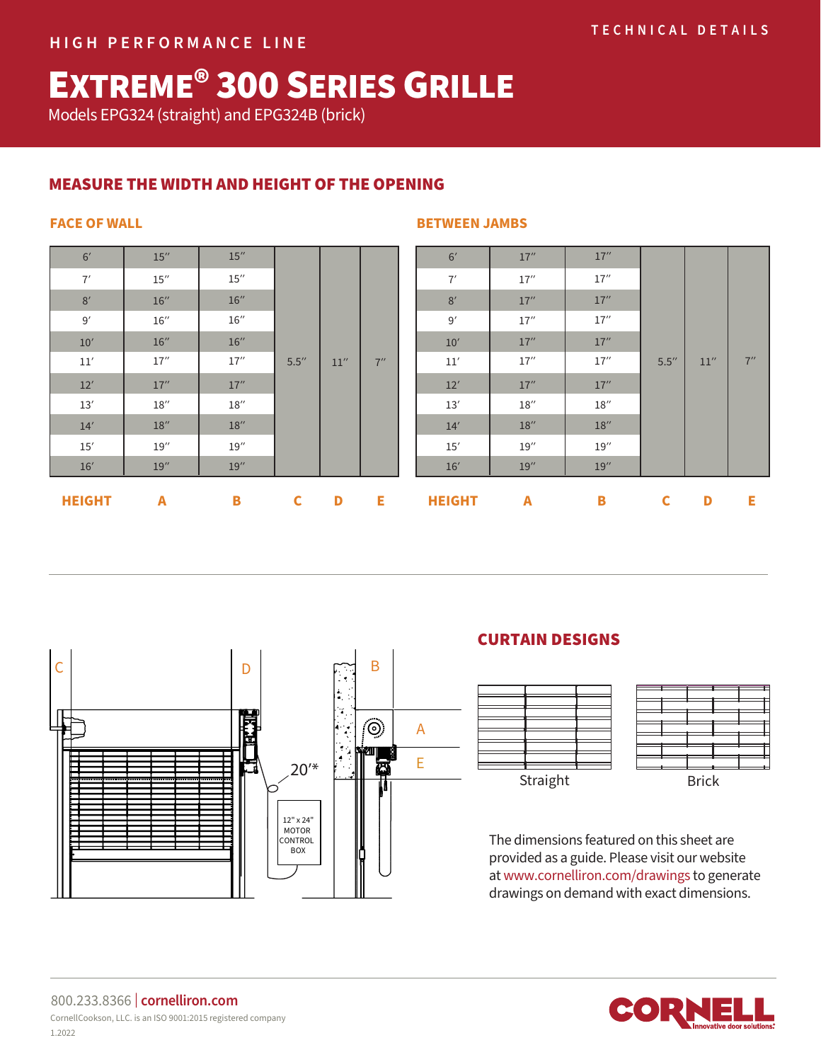# EXTREME® 300 SERIES GRILLE

Models EPG324 (straight) and EPG324B (brick)

# MEASURE THE WIDTH AND HEIGHT OF THE OPENING

| <b>LUBLATIT</b> | $\mathbf{r}$        | n.                  | ∼     | n.   | r.  |
|-----------------|---------------------|---------------------|-------|------|-----|
| 16'             | 19''                | 19''                |       |      |     |
| 15'             | 19''                | 19''                |       | 11'' | 7'' |
| 14'             | 18''                | $18^{\prime\prime}$ |       |      |     |
| $13'$           | $18^{\prime\prime}$ | $18^{\prime\prime}$ |       |      |     |
| 12'             | 17''                | 17''                |       |      |     |
| $11^\prime$     | $17^{\prime\prime}$ | $17^{\prime\prime}$ | 5.5'' |      |     |
| 10'             | 16''                | 16''                |       |      |     |
| 9'              | $16^{\prime\prime}$ | $16^{\prime\prime}$ |       |      |     |
| 8'              | 16''                | 16''                |       |      |     |
| 7'              | $15^{\prime\prime}$ | $15^{\prime\prime}$ |       |      |     |
| 6'              | 15''                | 15''                |       |      |     |

### **FACE OF WALL SERVER SERVER SERVER SERVER SERVER SERVER SERVER SERVER SERVER SERVER SERVER SERVER SERVER SERVER SERVER SERVER SERVER SERVER SERVER SERVER SERVER SERVER SERVER SERVER SERVER SERVER SERVER SERVER SERVER SERVE**

| <b>HEIGHT</b> | A    | B                   | $\mathbf c$ | D    | Е   | <b>HEIGHT</b> | A    | В    | $\mathbf c$ | D    | Е      |  |  |  |
|---------------|------|---------------------|-------------|------|-----|---------------|------|------|-------------|------|--------|--|--|--|
| 16'           | 19'' | 19''                | 5.5''       |      |     | 16'           | 19'' | 19'' |             |      |        |  |  |  |
| 15'           | 19'' | 19''                |             |      |     |               |      | 15'  | 19''        | 19'' |        |  |  |  |
| 14'           | 18'' | 18''                |             |      |     |               |      |      | 14'         | 18'' | $18''$ |  |  |  |
| 13'           | 18'' | $18^{\prime\prime}$ |             |      |     |               |      |      | 13'         | 18'' | 18''   |  |  |  |
| 12'           | 17'' | 17''                |             | 11'' | 7'' | 12'           | 17'' | 17'' | 5.5''       | 11'' | 7''    |  |  |  |
| $11^\prime$   | 17'' | 17''                |             |      |     | 11'           | 17'' | 17'' |             |      |        |  |  |  |
| 10'           | 16'' | 16''                |             |      |     |               |      | 10'  | 17''        | 17'' |        |  |  |  |
| 9'            | 16'' | $16''$              |             |      |     | 9'            | 17'' | 17'' |             |      |        |  |  |  |
| 8'            | 16'' | 16''                |             |      |     |               | 8'   | 17'' | 17''        |      |        |  |  |  |
| 7'            | 15'' | 15''                |             |      |     | 7'            | 17'' | 17'' |             |      |        |  |  |  |
| 6'            | 15'' | 15''                |             |      |     | 6'            | 17'' | 17'' |             |      |        |  |  |  |
|               |      |                     |             |      |     |               |      |      |             |      |        |  |  |  |



# CURTAIN DESIGNS





The dimensions featured on this sheet are provided as a guide. Please visit our website at www.cornelliron.com/drawings to generate drawings on demand with exact dimensions.